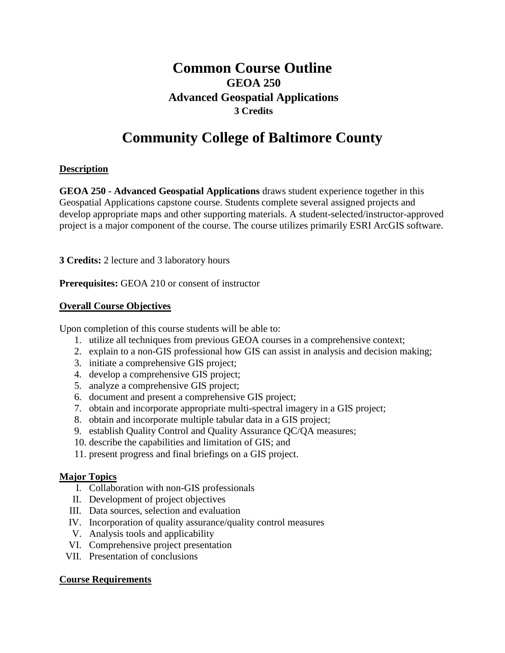# **Common Course Outline GEOA 250 Advanced Geospatial Applications 3 Credits**

# **Community College of Baltimore County**

# **Description**

**GEOA 250 - Advanced Geospatial Applications** draws student experience together in this Geospatial Applications capstone course. Students complete several assigned projects and develop appropriate maps and other supporting materials. A student-selected/instructor-approved project is a major component of the course. The course utilizes primarily ESRI ArcGIS software.

**3 Credits:** 2 lecture and 3 laboratory hours

**Prerequisites:** GEOA 210 or consent of instructor

#### **Overall Course Objectives**

Upon completion of this course students will be able to:

- 1. utilize all techniques from previous GEOA courses in a comprehensive context;
- 2. explain to a non-GIS professional how GIS can assist in analysis and decision making;
- 3. initiate a comprehensive GIS project;
- 4. develop a comprehensive GIS project;
- 5. analyze a comprehensive GIS project;
- 6. document and present a comprehensive GIS project;
- 7. obtain and incorporate appropriate multi-spectral imagery in a GIS project;
- 8. obtain and incorporate multiple tabular data in a GIS project;
- 9. establish Quality Control and Quality Assurance QC/QA measures;
- 10. describe the capabilities and limitation of GIS; and
- 11. present progress and final briefings on a GIS project.

## **Major Topics**

- I. Collaboration with non-GIS professionals
- II. Development of project objectives
- III. Data sources, selection and evaluation
- IV. Incorporation of quality assurance/quality control measures
- V. Analysis tools and applicability
- VI. Comprehensive project presentation
- VII. Presentation of conclusions

## **Course Requirements**